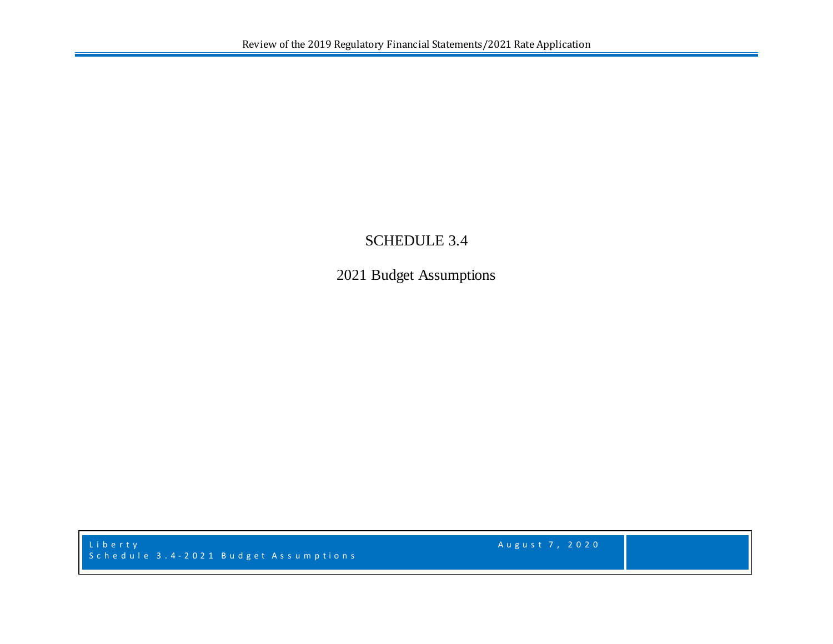## SCHEDULE 3.4

2021 Budget Assumptions

L i b e r t y August 7, 2020 Schedule 3.4 - 2021 Budget As s umptions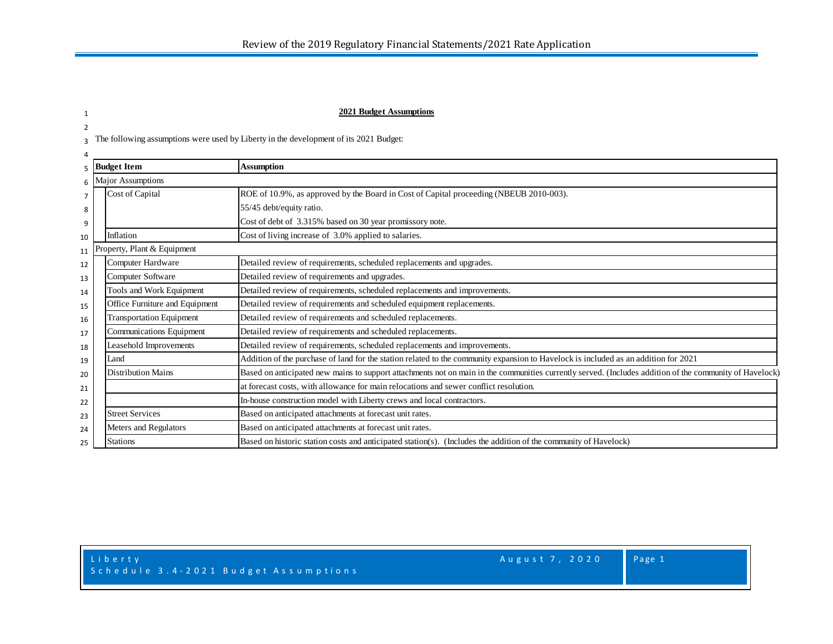## 1 **2021 Budget Assumptions**

3 The following assumptions were used by Liberty in the development of its 2021 Budget:

2

|                                                                                                                             | $5$ Budget Item                 | Assumption                                                                                                                                              |  |  |  |  |
|-----------------------------------------------------------------------------------------------------------------------------|---------------------------------|---------------------------------------------------------------------------------------------------------------------------------------------------------|--|--|--|--|
| $6 \,$ IV.                                                                                                                  | Aajor Assumptions               |                                                                                                                                                         |  |  |  |  |
| Cost of Capital<br>ROE of 10.9%, as approved by the Board in Cost of Capital proceeding (NBEUB 2010-003).<br>$\overline{7}$ |                                 |                                                                                                                                                         |  |  |  |  |
| 8                                                                                                                           |                                 | 55/45 debt/equity ratio.                                                                                                                                |  |  |  |  |
| 9                                                                                                                           |                                 | Cost of debt of 3.315% based on 30 year promissory note.                                                                                                |  |  |  |  |
| 10                                                                                                                          | Inflation                       | Cost of living increase of 3.0% applied to salaries.                                                                                                    |  |  |  |  |
| 11                                                                                                                          | roperty, Plant & Equipment      |                                                                                                                                                         |  |  |  |  |
| 12                                                                                                                          | Computer Hardware               | Detailed review of requirements, scheduled replacements and upgrades.                                                                                   |  |  |  |  |
| 13                                                                                                                          | Computer Software               | Detailed review of requirements and upgrades.                                                                                                           |  |  |  |  |
| 14                                                                                                                          | Tools and Work Equipment        | Detailed review of requirements, scheduled replacements and improvements.                                                                               |  |  |  |  |
| 15                                                                                                                          | Office Furniture and Equipment  | Detailed review of requirements and scheduled equipment replacements.                                                                                   |  |  |  |  |
| 16                                                                                                                          | <b>Transportation Equipment</b> | Detailed review of requirements and scheduled replacements.                                                                                             |  |  |  |  |
| 17                                                                                                                          | Communications Equipment        | Detailed review of requirements and scheduled replacements.                                                                                             |  |  |  |  |
| 18                                                                                                                          | Leasehold Improvements          | Detailed review of requirements, scheduled replacements and improvements.                                                                               |  |  |  |  |
| 19                                                                                                                          | Land                            | Addition of the purchase of land for the station related to the community expansion to Havelock is included as an addition for 2021                     |  |  |  |  |
| 20                                                                                                                          | Distribution Mains              | Based on anticipated new mains to support attachments not on main in the communities currently served. (Includes addition of the community of Havelock) |  |  |  |  |
| 21                                                                                                                          |                                 | at forecast costs, with allowance for main relocations and sewer conflict resolution.                                                                   |  |  |  |  |
| 22                                                                                                                          |                                 | In-house construction model with Liberty crews and local contractors.                                                                                   |  |  |  |  |
| 23                                                                                                                          | <b>Street Services</b>          | Based on anticipated attachments at forecast unit rates.                                                                                                |  |  |  |  |
| 24                                                                                                                          | Meters and Regulators           | Based on anticipated attachments at forecast unit rates.                                                                                                |  |  |  |  |
| 25                                                                                                                          | <b>Stations</b>                 | Based on historic station costs and anticipated station(s). (Includes the addition of the community of Havelock)                                        |  |  |  |  |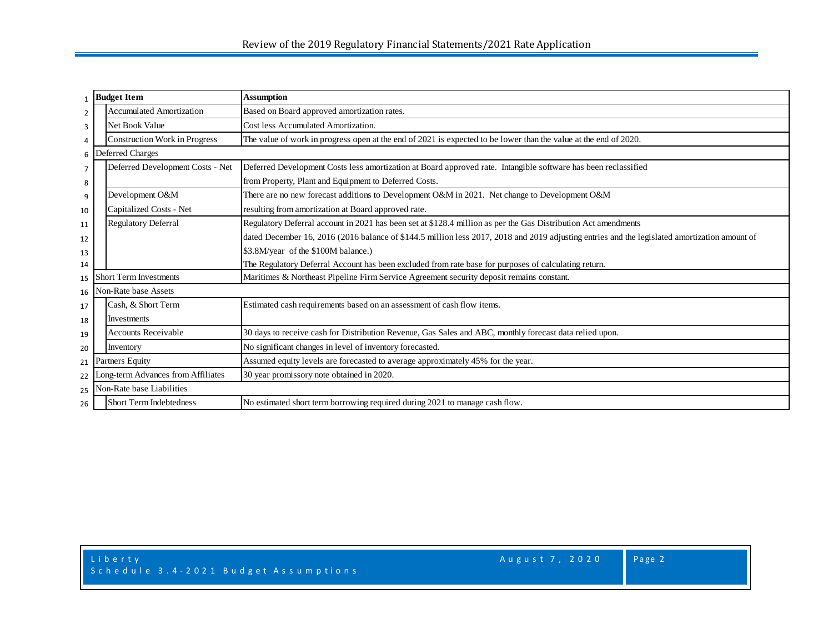|                                                                                                                                 | 1 Budget Item                                                                                                                                      | <b>Assumption</b>                                                                                                                             |  |  |  |  |  |  |  |  |  |
|---------------------------------------------------------------------------------------------------------------------------------|----------------------------------------------------------------------------------------------------------------------------------------------------|-----------------------------------------------------------------------------------------------------------------------------------------------|--|--|--|--|--|--|--|--|--|
| 2                                                                                                                               | <b>Accumulated Amortization</b>                                                                                                                    | Based on Board approved amortization rates.                                                                                                   |  |  |  |  |  |  |  |  |  |
| 3                                                                                                                               | Net Book Value                                                                                                                                     | Cost less Accumulated Amortization.                                                                                                           |  |  |  |  |  |  |  |  |  |
| $\overline{4}$                                                                                                                  | <b>Construction Work in Progress</b>                                                                                                               | The value of work in progress open at the end of 2021 is expected to be lower than the value at the end of 2020.                              |  |  |  |  |  |  |  |  |  |
|                                                                                                                                 | 6 Deferred Charges                                                                                                                                 |                                                                                                                                               |  |  |  |  |  |  |  |  |  |
| $\overline{7}$                                                                                                                  | Deferred Development Costs - Net<br>Deferred Development Costs less amortization at Board approved rate. Intangible software has been reclassified |                                                                                                                                               |  |  |  |  |  |  |  |  |  |
| 8                                                                                                                               |                                                                                                                                                    | from Property, Plant and Equipment to Deferred Costs.                                                                                         |  |  |  |  |  |  |  |  |  |
| 9                                                                                                                               | Development O&M                                                                                                                                    | There are no new forecast additions to Development O&M in 2021. Net change to Development O&M                                                 |  |  |  |  |  |  |  |  |  |
| 10                                                                                                                              | Capitalized Costs - Net                                                                                                                            | resulting from amortization at Board approved rate.                                                                                           |  |  |  |  |  |  |  |  |  |
| 11                                                                                                                              | <b>Regulatory Deferral</b>                                                                                                                         | Regulatory Deferral account in 2021 has been set at \$128.4 million as per the Gas Distribution Act amendments                                |  |  |  |  |  |  |  |  |  |
| 12                                                                                                                              |                                                                                                                                                    | dated December 16, 2016 (2016 balance of \$144.5 million less 2017, 2018 and 2019 adjusting entries and the legislated amortization amount of |  |  |  |  |  |  |  |  |  |
| 13                                                                                                                              |                                                                                                                                                    | \$3.8M/year of the \$100M balance.)                                                                                                           |  |  |  |  |  |  |  |  |  |
| 14                                                                                                                              |                                                                                                                                                    | The Regulatory Deferral Account has been excluded from rate base for purposes of calculating return.                                          |  |  |  |  |  |  |  |  |  |
| Maritimes & Northeast Pipeline Firm Service Agreement security deposit remains constant.<br><b>Short Term Investments</b><br>15 |                                                                                                                                                    |                                                                                                                                               |  |  |  |  |  |  |  |  |  |
| 16                                                                                                                              | Non-Rate base Assets                                                                                                                               |                                                                                                                                               |  |  |  |  |  |  |  |  |  |
| 17                                                                                                                              | Cash, & Short Term                                                                                                                                 | Estimated cash requirements based on an assessment of cash flow items.                                                                        |  |  |  |  |  |  |  |  |  |
| 18                                                                                                                              | Investments                                                                                                                                        |                                                                                                                                               |  |  |  |  |  |  |  |  |  |
| 19                                                                                                                              | <b>Accounts Receivable</b>                                                                                                                         | 30 days to receive cash for Distribution Revenue, Gas Sales and ABC, monthly forecast data relied upon.                                       |  |  |  |  |  |  |  |  |  |
| 20                                                                                                                              | Inventory                                                                                                                                          | No significant changes in level of inventory forecasted.                                                                                      |  |  |  |  |  |  |  |  |  |
| 21                                                                                                                              | Partners Equity                                                                                                                                    | Assumed equity levels are forecasted to average approximately 45% for the year.                                                               |  |  |  |  |  |  |  |  |  |
| 22                                                                                                                              | Long-term Advances from Affiliates                                                                                                                 | 30 year promissory note obtained in 2020.                                                                                                     |  |  |  |  |  |  |  |  |  |
| 25                                                                                                                              | Non-Rate base Liabilities                                                                                                                          |                                                                                                                                               |  |  |  |  |  |  |  |  |  |
| 26                                                                                                                              | <b>Short Term Indebtedness</b>                                                                                                                     | No estimated short term borrowing required during 2021 to manage cash flow.                                                                   |  |  |  |  |  |  |  |  |  |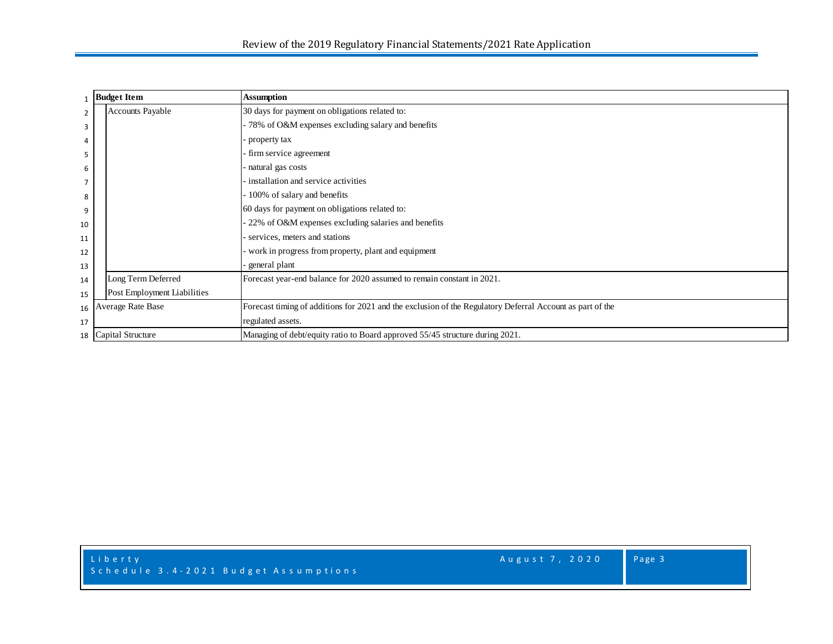|                | <b>Budget Item</b>          | <b>Assumption</b>                                                                                         |  |  |  |  |  |  |  |  |
|----------------|-----------------------------|-----------------------------------------------------------------------------------------------------------|--|--|--|--|--|--|--|--|
| $\overline{2}$ | <b>Accounts Payable</b>     | 30 days for payment on obligations related to:                                                            |  |  |  |  |  |  |  |  |
| 3              |                             | - 78% of O&M expenses excluding salary and benefits                                                       |  |  |  |  |  |  |  |  |
| 4              |                             | property tax                                                                                              |  |  |  |  |  |  |  |  |
| 5              |                             | firm service agreement                                                                                    |  |  |  |  |  |  |  |  |
| 6              |                             | natural gas costs                                                                                         |  |  |  |  |  |  |  |  |
| 7              |                             | installation and service activities                                                                       |  |  |  |  |  |  |  |  |
| 8              |                             | 100% of salary and benefits                                                                               |  |  |  |  |  |  |  |  |
| 9              |                             | 60 days for payment on obligations related to:                                                            |  |  |  |  |  |  |  |  |
| 10             |                             | 22% of O&M expenses excluding salaries and benefits                                                       |  |  |  |  |  |  |  |  |
| 11             |                             | services, meters and stations                                                                             |  |  |  |  |  |  |  |  |
| 12             |                             | work in progress from property, plant and equipment                                                       |  |  |  |  |  |  |  |  |
| 13             |                             | general plant                                                                                             |  |  |  |  |  |  |  |  |
| 14             | Long Term Deferred          | Forecast year-end balance for 2020 assumed to remain constant in 2021.                                    |  |  |  |  |  |  |  |  |
| 15             | Post Employment Liabilities |                                                                                                           |  |  |  |  |  |  |  |  |
| 16             | <b>Average Rate Base</b>    | Forecast timing of additions for 2021 and the exclusion of the Regulatory Deferral Account as part of the |  |  |  |  |  |  |  |  |
| 17             |                             | regulated assets.                                                                                         |  |  |  |  |  |  |  |  |
| 18             | Capital Structure           | Managing of debt/equity ratio to Board approved 55/45 structure during 2021.                              |  |  |  |  |  |  |  |  |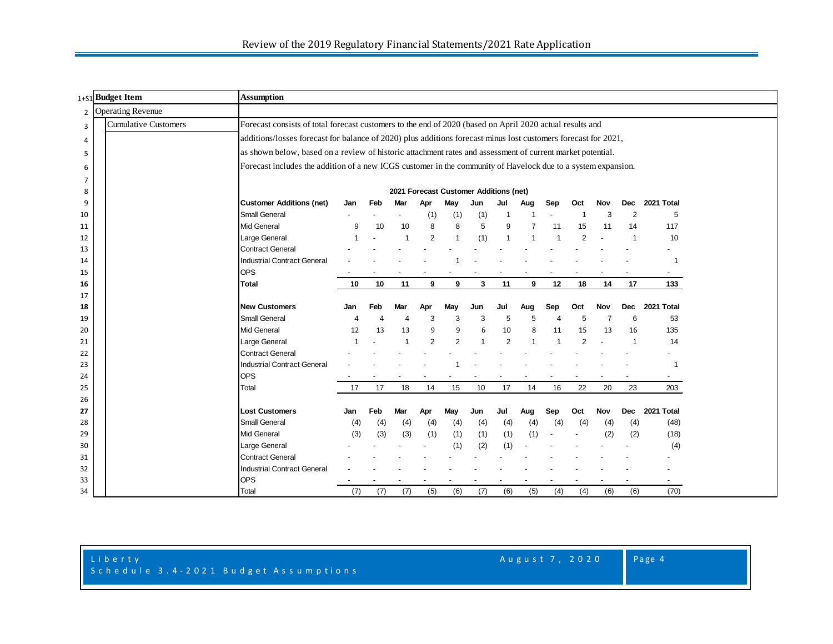|                | 1+51 Budget Item            | <b>Assumption</b>                                                                                              |                          |     |                          |     |                          |                                        |                          |                          |                |                |                |                |                          |  |
|----------------|-----------------------------|----------------------------------------------------------------------------------------------------------------|--------------------------|-----|--------------------------|-----|--------------------------|----------------------------------------|--------------------------|--------------------------|----------------|----------------|----------------|----------------|--------------------------|--|
|                | 2 Operating Revenue         |                                                                                                                |                          |     |                          |     |                          |                                        |                          |                          |                |                |                |                |                          |  |
| 3              | <b>Cumulative Customers</b> | Forecast consists of total forecast customers to the end of 2020 (based on April 2020 actual results and       |                          |     |                          |     |                          |                                        |                          |                          |                |                |                |                |                          |  |
| 4              |                             | additions/losses forecast for balance of 2020) plus additions forecast minus lost customers forecast for 2021, |                          |     |                          |     |                          |                                        |                          |                          |                |                |                |                |                          |  |
| 5              |                             | as shown below, based on a review of historic attachment rates and assessment of current market potential.     |                          |     |                          |     |                          |                                        |                          |                          |                |                |                |                |                          |  |
| 6              |                             | Forecast includes the addition of a new ICGS customer in the community of Havelock due to a system expansion.  |                          |     |                          |     |                          |                                        |                          |                          |                |                |                |                |                          |  |
| $\overline{7}$ |                             |                                                                                                                |                          |     |                          |     |                          |                                        |                          |                          |                |                |                |                |                          |  |
| 8              |                             |                                                                                                                |                          |     |                          |     |                          | 2021 Forecast Customer Additions (net) |                          |                          |                |                |                |                |                          |  |
| 9              |                             | <b>Customer Additions (net)</b>                                                                                | Jan                      | Feb | Mar                      | Apr | May                      | Jun                                    | Jul                      | Aug                      | Sep            | Oct            | Nov            | <b>Dec</b>     | 2021 Total               |  |
| 10             |                             | <b>Small General</b>                                                                                           |                          |     |                          | (1) | (1)                      | (1)                                    | 1                        |                          |                |                | 3              | $\overline{2}$ | 5                        |  |
| 11             |                             | <b>Mid General</b>                                                                                             | 9                        | 10  | 10                       | 8   | 8                        | 5                                      | 9                        | $\overline{7}$           | 11             | 15             | 11             | 14             | 117                      |  |
| 12             |                             | Large General                                                                                                  | $\overline{\mathbf{1}}$  |     | $\overline{\mathbf{1}}$  | 2   | $\mathbf{1}$             | (1)                                    | $\overline{1}$           |                          |                | $\overline{2}$ |                | $\mathbf{1}$   | 10                       |  |
| 13             |                             | <b>Contract General</b>                                                                                        |                          |     |                          |     |                          |                                        |                          |                          |                |                |                |                |                          |  |
| 14             |                             | <b>Industrial Contract General</b>                                                                             |                          |     |                          |     |                          |                                        |                          |                          |                |                |                |                |                          |  |
| 15             |                             | <b>OPS</b>                                                                                                     |                          | -   | $\overline{\phantom{a}}$ |     | $\overline{\phantom{a}}$ |                                        | $\overline{\phantom{a}}$ | $\overline{\phantom{a}}$ |                |                |                |                | $\sim$                   |  |
| 16             |                             | Total                                                                                                          | 10                       | 10  | 11                       | 9   | 9                        | 3                                      | 11                       | 9                        | 12             | 18             | 14             | 17             | 133                      |  |
| 17             |                             |                                                                                                                |                          |     |                          |     |                          |                                        |                          |                          |                |                |                |                |                          |  |
| 18             |                             | New Customers                                                                                                  | Jan                      | Feb | Mar                      | Apr | May                      | Jun                                    | Jul                      | Aug                      | Sep            | Oct            | Nov            | <b>Dec</b>     | 2021 Total               |  |
| 19             |                             | <b>Small General</b>                                                                                           | 4                        | 4   | $\overline{4}$           | 3   | 3                        | 3                                      | 5                        | 5                        | $\overline{4}$ | 5              | $\overline{7}$ | 6              | 53                       |  |
| 20             |                             | <b>Mid General</b>                                                                                             | 12                       | 13  | 13                       | 9   | 9                        | 6                                      | 10                       | 8                        | 11             | 15             | 13             | 16             | 135                      |  |
| 21             |                             | Large General                                                                                                  | $\overline{\phantom{a}}$ |     | $\overline{1}$           | 2   | $\overline{2}$           | $\overline{1}$                         | $\overline{2}$           | $\overline{1}$           | -1             | $\overline{2}$ |                | $\mathbf{1}$   | 14                       |  |
| 22             |                             | <b>Contract General</b>                                                                                        |                          |     |                          |     |                          |                                        |                          |                          |                |                |                |                |                          |  |
| 23             |                             | <b>Industrial Contract General</b>                                                                             |                          |     |                          |     |                          |                                        |                          |                          |                |                |                |                |                          |  |
| 24             |                             | <b>OPS</b>                                                                                                     |                          |     | $\overline{\phantom{a}}$ |     | $\overline{\phantom{a}}$ |                                        | $\overline{\phantom{a}}$ |                          |                |                |                |                | $\sim$                   |  |
| 25             |                             | Total                                                                                                          | 17                       | 17  | 18                       | 14  | 15                       | 10                                     | 17                       | 14                       | 16             | 22             | 20             | 23             | 203                      |  |
| 26             |                             | <b>Lost Customers</b>                                                                                          |                          |     |                          |     |                          |                                        |                          |                          |                |                |                | <b>Dec</b>     | 2021 Total               |  |
| 27             |                             | <b>Small General</b>                                                                                           | Jan                      | Feb | Mar                      | Apr | May                      | Jun                                    | Jul                      | Aug                      | Sep            | Oct            | Nov            |                | (48)                     |  |
| 28             |                             | Mid General                                                                                                    | (4)                      | (4) | (4)                      | (4) | (4)                      | (4)                                    | (4)<br>(1)               | (4)<br>(1)               | (4)            | (4)            | (4)            | (4)            |                          |  |
| 29<br>30       |                             | Large General                                                                                                  | (3)                      | (3) | (3)                      | (1) | (1)<br>(1)               | (1)<br>(2)                             | (1)                      |                          |                |                | (2)            | (2)            | (18)                     |  |
| 31             |                             | <b>Contract General</b>                                                                                        |                          |     |                          |     |                          |                                        |                          |                          |                |                |                |                | (4)                      |  |
| 32             |                             | <b>Industrial Contract General</b>                                                                             |                          |     |                          |     |                          |                                        |                          |                          |                |                |                |                |                          |  |
| 33             |                             | <b>OPS</b>                                                                                                     |                          |     |                          |     |                          |                                        |                          |                          |                |                |                |                | $\overline{\phantom{a}}$ |  |
| 34             |                             | Total                                                                                                          | (7)                      | (7) | (7)                      | (5) | (6)                      | (7)                                    | (6)                      | (5)                      | (4)            | (4)            | (6)            | (6)            | (70)                     |  |

Page 4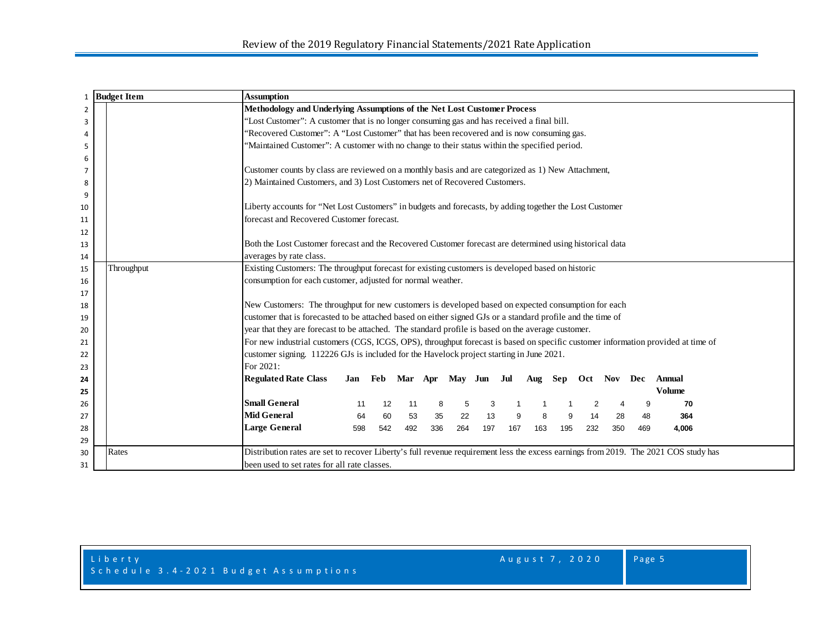| 1              | <b>Budget Item</b> | <b>Assumption</b>                                                                                                                   |     |                             |     |     |     |     |     |     |                     |     |     |     |               |  |
|----------------|--------------------|-------------------------------------------------------------------------------------------------------------------------------------|-----|-----------------------------|-----|-----|-----|-----|-----|-----|---------------------|-----|-----|-----|---------------|--|
| $\overline{2}$ |                    | Methodology and Underlying Assumptions of the Net Lost Customer Process                                                             |     |                             |     |     |     |     |     |     |                     |     |     |     |               |  |
| 3              |                    | 'Lost Customer": A customer that is no longer consuming gas and has received a final bill.                                          |     |                             |     |     |     |     |     |     |                     |     |     |     |               |  |
| 4              |                    | 'Recovered Customer": A "Lost Customer" that has been recovered and is now consuming gas.                                           |     |                             |     |     |     |     |     |     |                     |     |     |     |               |  |
| 5              |                    | 'Maintained Customer": A customer with no change to their status within the specified period.                                       |     |                             |     |     |     |     |     |     |                     |     |     |     |               |  |
| 6              |                    |                                                                                                                                     |     |                             |     |     |     |     |     |     |                     |     |     |     |               |  |
| 7              |                    | Customer counts by class are reviewed on a monthly basis and are categorized as 1) New Attachment,                                  |     |                             |     |     |     |     |     |     |                     |     |     |     |               |  |
| 8              |                    | 2) Maintained Customers, and 3) Lost Customers net of Recovered Customers.                                                          |     |                             |     |     |     |     |     |     |                     |     |     |     |               |  |
| 9              |                    |                                                                                                                                     |     |                             |     |     |     |     |     |     |                     |     |     |     |               |  |
| 10             |                    | Liberty accounts for "Net Lost Customers" in budgets and forecasts, by adding together the Lost Customer                            |     |                             |     |     |     |     |     |     |                     |     |     |     |               |  |
| 11             |                    | forecast and Recovered Customer forecast.                                                                                           |     |                             |     |     |     |     |     |     |                     |     |     |     |               |  |
| 12             |                    |                                                                                                                                     |     |                             |     |     |     |     |     |     |                     |     |     |     |               |  |
| 13             |                    | Both the Lost Customer forecast and the Recovered Customer forecast are determined using historical data                            |     |                             |     |     |     |     |     |     |                     |     |     |     |               |  |
| 14             |                    | averages by rate class.                                                                                                             |     |                             |     |     |     |     |     |     |                     |     |     |     |               |  |
| 15             | Throughput         | Existing Customers: The throughput forecast for existing customers is developed based on historic                                   |     |                             |     |     |     |     |     |     |                     |     |     |     |               |  |
| 16             |                    | consumption for each customer, adjusted for normal weather.                                                                         |     |                             |     |     |     |     |     |     |                     |     |     |     |               |  |
| 17             |                    |                                                                                                                                     |     |                             |     |     |     |     |     |     |                     |     |     |     |               |  |
| 18             |                    | New Customers: The throughput for new customers is developed based on expected consumption for each                                 |     |                             |     |     |     |     |     |     |                     |     |     |     |               |  |
| 19             |                    | customer that is forecasted to be attached based on either signed GJs or a standard profile and the time of                         |     |                             |     |     |     |     |     |     |                     |     |     |     |               |  |
| 20             |                    | year that they are forecast to be attached. The standard profile is based on the average customer.                                  |     |                             |     |     |     |     |     |     |                     |     |     |     |               |  |
| 21             |                    | For new industrial customers (CGS, ICGS, OPS), throughput forecast is based on specific customer information provided at time of    |     |                             |     |     |     |     |     |     |                     |     |     |     |               |  |
| 22             |                    | customer signing. 112226 GJs is included for the Havelock project starting in June 2021.                                            |     |                             |     |     |     |     |     |     |                     |     |     |     |               |  |
| 23             |                    | For 2021:                                                                                                                           |     |                             |     |     |     |     |     |     |                     |     |     |     |               |  |
| 24             |                    | <b>Regulated Rate Class</b>                                                                                                         |     | Jan Feb Mar Apr May Jun Jul |     |     |     |     |     |     | Aug Sep Oct Nov Dec |     |     |     | <b>Annual</b> |  |
| 25             |                    |                                                                                                                                     |     |                             |     |     |     |     |     |     |                     |     |     |     | <b>Volume</b> |  |
| 26             |                    | <b>Small General</b>                                                                                                                | 11  | 12                          | 11  |     | 5   | 3   |     |     |                     | 2   |     | 9   | 70            |  |
| 27             |                    | <b>Mid General</b>                                                                                                                  | 64  | 60                          | 53  | 35  | 22  | 13  | 9   | 8   |                     | 14  | 28  | 48  | 364           |  |
| 28<br>29       |                    | <b>Large General</b>                                                                                                                | 598 | 542                         | 492 | 336 | 264 | 197 | 167 | 163 | 195                 | 232 | 350 | 469 | 4,006         |  |
| 30             | Rates              | Distribution rates are set to recover Liberty's full revenue requirement less the excess earnings from 2019. The 2021 COS study has |     |                             |     |     |     |     |     |     |                     |     |     |     |               |  |
| 31             |                    | been used to set rates for all rate classes.                                                                                        |     |                             |     |     |     |     |     |     |                     |     |     |     |               |  |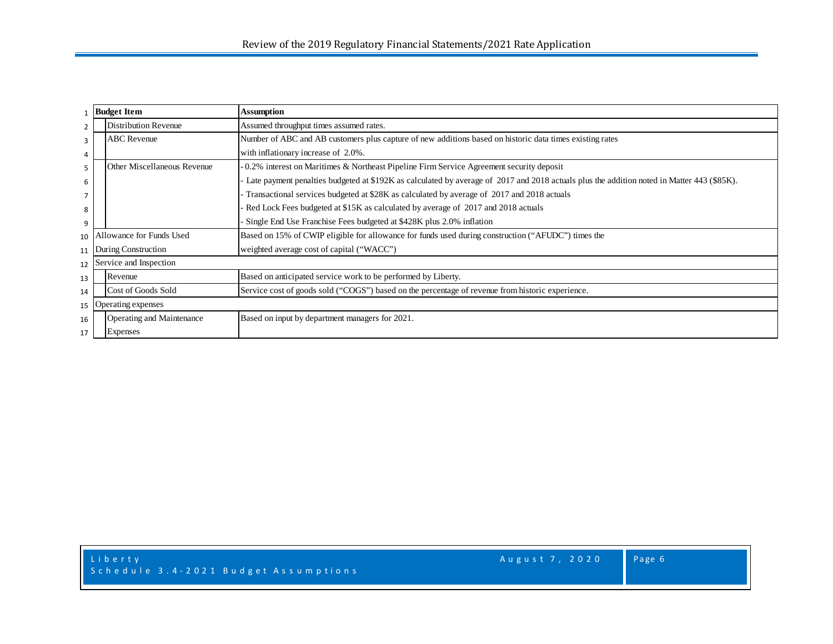|                | <b>Budget Item</b>                                                                                                         | <b>Assumption</b>                                                                                                                          |  |  |  |  |  |  |  |
|----------------|----------------------------------------------------------------------------------------------------------------------------|--------------------------------------------------------------------------------------------------------------------------------------------|--|--|--|--|--|--|--|
| $\overline{2}$ | Distribution Revenue                                                                                                       | Assumed throughput times assumed rates.                                                                                                    |  |  |  |  |  |  |  |
| 3              | <b>ABC</b> Revenue                                                                                                         | Number of ABC and AB customers plus capture of new additions based on historic data times existing rates                                   |  |  |  |  |  |  |  |
| 4              |                                                                                                                            | with inflationary increase of 2.0%.                                                                                                        |  |  |  |  |  |  |  |
| 5              | $-0.2\%$ interest on Maritimes & Northeast Pipeline Firm Service Agreement security deposit<br>Other Miscellaneous Revenue |                                                                                                                                            |  |  |  |  |  |  |  |
| 6              |                                                                                                                            | Late payment penalties budgeted at \$192K as calculated by average of 2017 and 2018 actuals plus the addition noted in Matter 443 (\$85K). |  |  |  |  |  |  |  |
|                | - Transactional services budgeted at \$28K as calculated by average of 2017 and 2018 actuals                               |                                                                                                                                            |  |  |  |  |  |  |  |
| 8              |                                                                                                                            | Red Lock Fees budgeted at \$15K as calculated by average of 2017 and 2018 actuals                                                          |  |  |  |  |  |  |  |
| 9              |                                                                                                                            | Single End Use Franchise Fees budgeted at \$428K plus 2.0% inflation                                                                       |  |  |  |  |  |  |  |
|                | 10 Allowance for Funds Used                                                                                                | Based on 15% of CWIP eligible for allowance for funds used during construction ("AFUDC") times the                                         |  |  |  |  |  |  |  |
| 11             | During Construction                                                                                                        | weighted average cost of capital ("WACC")                                                                                                  |  |  |  |  |  |  |  |
| 12             | Service and Inspection                                                                                                     |                                                                                                                                            |  |  |  |  |  |  |  |
| 13             | Revenue                                                                                                                    | Based on anticipated service work to be performed by Liberty.                                                                              |  |  |  |  |  |  |  |
| 14             | Cost of Goods Sold                                                                                                         | Service cost of goods sold ("COGS") based on the percentage of revenue from historic experience.                                           |  |  |  |  |  |  |  |
| 15             | Operating expenses                                                                                                         |                                                                                                                                            |  |  |  |  |  |  |  |
| 16             | Operating and Maintenance                                                                                                  | Based on input by department managers for 2021.                                                                                            |  |  |  |  |  |  |  |
| 17             | <b>Expenses</b>                                                                                                            |                                                                                                                                            |  |  |  |  |  |  |  |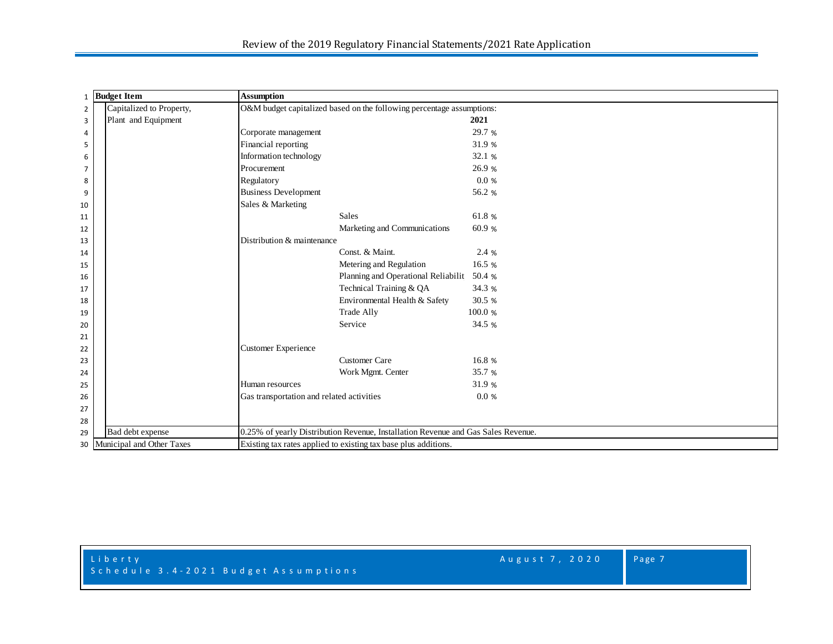| 1 Budget Item  |                              | <b>Assumption</b>                                                                 |              |  |  |  |  |  |  |  |  |
|----------------|------------------------------|-----------------------------------------------------------------------------------|--------------|--|--|--|--|--|--|--|--|
| $\overline{2}$ | Capitalized to Property,     | O&M budget capitalized based on the following percentage assumptions:             |              |  |  |  |  |  |  |  |  |
| 3              | Plant and Equipment          |                                                                                   | 2021         |  |  |  |  |  |  |  |  |
| $\overline{4}$ |                              | Corporate management                                                              | 29.7 %       |  |  |  |  |  |  |  |  |
| 5              |                              | Financial reporting                                                               | 31.9 %       |  |  |  |  |  |  |  |  |
| 6              |                              | Information technology                                                            | 32.1 %       |  |  |  |  |  |  |  |  |
| 7              |                              | Procurement                                                                       | 26.9 %       |  |  |  |  |  |  |  |  |
| 8              |                              | Regulatory                                                                        | 0.0 %        |  |  |  |  |  |  |  |  |
| 9              |                              | <b>Business Development</b>                                                       | 56.2 %       |  |  |  |  |  |  |  |  |
| 10             |                              | Sales & Marketing                                                                 |              |  |  |  |  |  |  |  |  |
| 11             |                              | Sales                                                                             | 61.8%        |  |  |  |  |  |  |  |  |
| 12             |                              | Marketing and Communications                                                      | 60.9%        |  |  |  |  |  |  |  |  |
| 13             |                              | Distribution & maintenance                                                        |              |  |  |  |  |  |  |  |  |
| 14             |                              | Const. & Maint.                                                                   | 2.4 %        |  |  |  |  |  |  |  |  |
| 15             |                              | Metering and Regulation                                                           | 16.5 %       |  |  |  |  |  |  |  |  |
| 16             |                              | Planning and Operational Reliabilit                                               | 50.4 %       |  |  |  |  |  |  |  |  |
| 17             |                              | Technical Training & QA                                                           | 34.3 %       |  |  |  |  |  |  |  |  |
| 18             |                              | Environmental Health & Safety                                                     | 30.5 %       |  |  |  |  |  |  |  |  |
| 19             |                              | <b>Trade Ally</b>                                                                 | 100.0%       |  |  |  |  |  |  |  |  |
| 20             |                              | Service                                                                           | 34.5 %       |  |  |  |  |  |  |  |  |
| 21             |                              |                                                                                   |              |  |  |  |  |  |  |  |  |
| 22             |                              | <b>Customer Experience</b>                                                        |              |  |  |  |  |  |  |  |  |
| 23             |                              | <b>Customer Care</b>                                                              | 16.8 %       |  |  |  |  |  |  |  |  |
| 24             |                              | Work Mgmt. Center                                                                 | 35.7 %       |  |  |  |  |  |  |  |  |
| 25             |                              | Human resources                                                                   | 31.9 %       |  |  |  |  |  |  |  |  |
| 26             |                              | Gas transportation and related activities                                         | $0.0 \times$ |  |  |  |  |  |  |  |  |
| 27             |                              |                                                                                   |              |  |  |  |  |  |  |  |  |
| 28             |                              |                                                                                   |              |  |  |  |  |  |  |  |  |
| 29             | Bad debt expense             | 0.25% of yearly Distribution Revenue, Installation Revenue and Gas Sales Revenue. |              |  |  |  |  |  |  |  |  |
|                | 30 Municipal and Other Taxes | Existing tax rates applied to existing tax base plus additions.                   |              |  |  |  |  |  |  |  |  |